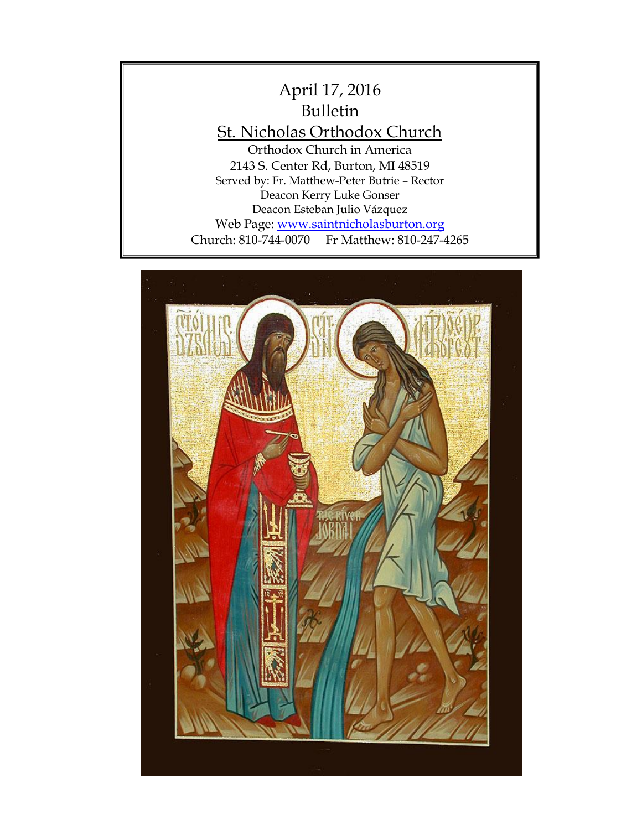

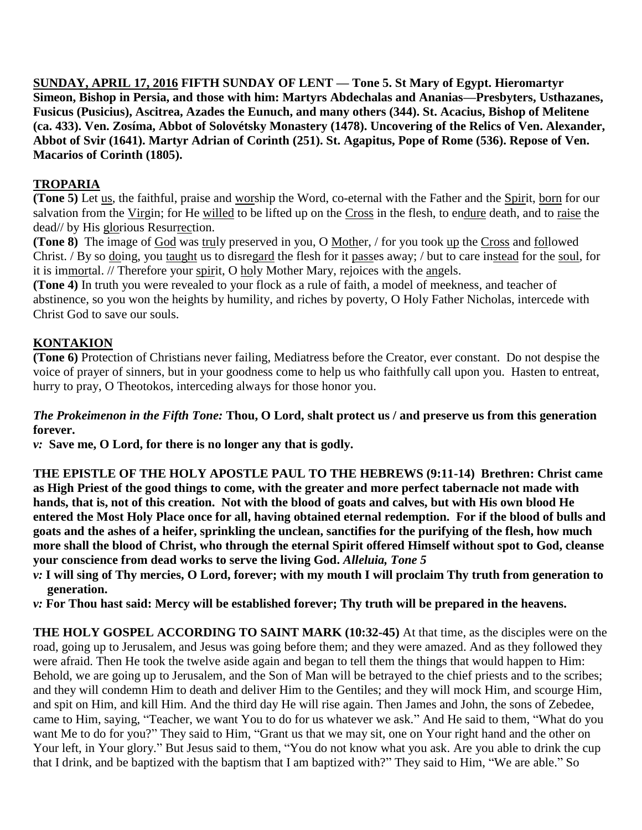**SUNDAY, APRIL 17, 2016 FIFTH SUNDAY OF LENT — Tone 5. St Mary of Egypt. Hieromartyr Simeon, Bishop in Persia, and those with him: Martyrs Abdechalas and Ananias—Presbyters, Usthazanes, Fusicus (Pusicius), Ascitrea, Azades the Eunuch, and many others (344). St. Acacius, Bishop of Melitene (ca. 433). Ven. Zosíma, Abbot of Solovétsky Monastery (1478). Uncovering of the Relics of Ven. Alexander, Abbot of Svir (1641). Martyr Adrian of Corinth (251). St. Agapitus, Pope of Rome (536). Repose of Ven. Macarios of Corinth (1805).**

# **TROPARIA**

**(Tone 5)** Let us, the faithful, praise and worship the Word, co-eternal with the Father and the Spirit, born for our salvation from the Virgin; for He willed to be lifted up on the Cross in the flesh, to endure death, and to raise the dead// by His glorious Resurrection.

**(Tone 8)** The image of God was truly preserved in you, O Mother, / for you took up the Cross and followed Christ. / By so doing, you taught us to disregard the flesh for it passes away; / but to care instead for the soul, for it is immortal. // Therefore your spirit, O holy Mother Mary, rejoices with the angels.

**(Tone 4)** In truth you were revealed to your flock as a rule of faith, a model of meekness, and teacher of abstinence, so you won the heights by humility, and riches by poverty, O Holy Father Nicholas, intercede with Christ God to save our souls.

# **KONTAKION**

**(Tone 6)** Protection of Christians never failing, Mediatress before the Creator, ever constant. Do not despise the voice of prayer of sinners, but in your goodness come to help us who faithfully call upon you. Hasten to entreat, hurry to pray, O Theotokos, interceding always for those honor you.

### *The Prokeimenon in the Fifth Tone:* **Thou, O Lord, shalt protect us / and preserve us from this generation forever.**

*v:* **Save me, O Lord, for there is no longer any that is godly.** 

**THE EPISTLE OF THE HOLY APOSTLE PAUL TO THE HEBREWS (9:11-14) Brethren: Christ came as High Priest of the good things to come, with the greater and more perfect tabernacle not made with hands, that is, not of this creation. Not with the blood of goats and calves, but with His own blood He entered the Most Holy Place once for all, having obtained eternal redemption. For if the blood of bulls and goats and the ashes of a heifer, sprinkling the unclean, sanctifies for the purifying of the flesh, how much more shall the blood of Christ, who through the eternal Spirit offered Himself without spot to God, cleanse your conscience from dead works to serve the living God.** *Alleluia, Tone 5*

- *v:* **I will sing of Thy mercies, O Lord, forever; with my mouth I will proclaim Thy truth from generation to generation.**
- *v:* **For Thou hast said: Mercy will be established forever; Thy truth will be prepared in the heavens.**

**THE HOLY GOSPEL ACCORDING TO SAINT MARK (10:32-45)** At that time, as the disciples were on the road, going up to Jerusalem, and Jesus was going before them; and they were amazed. And as they followed they were afraid. Then He took the twelve aside again and began to tell them the things that would happen to Him: Behold, we are going up to Jerusalem, and the Son of Man will be betrayed to the chief priests and to the scribes; and they will condemn Him to death and deliver Him to the Gentiles; and they will mock Him, and scourge Him, and spit on Him, and kill Him. And the third day He will rise again. Then James and John, the sons of Zebedee, came to Him, saying, "Teacher, we want You to do for us whatever we ask." And He said to them, "What do you want Me to do for you?" They said to Him, "Grant us that we may sit, one on Your right hand and the other on Your left, in Your glory." But Jesus said to them, "You do not know what you ask. Are you able to drink the cup that I drink, and be baptized with the baptism that I am baptized with?" They said to Him, "We are able." So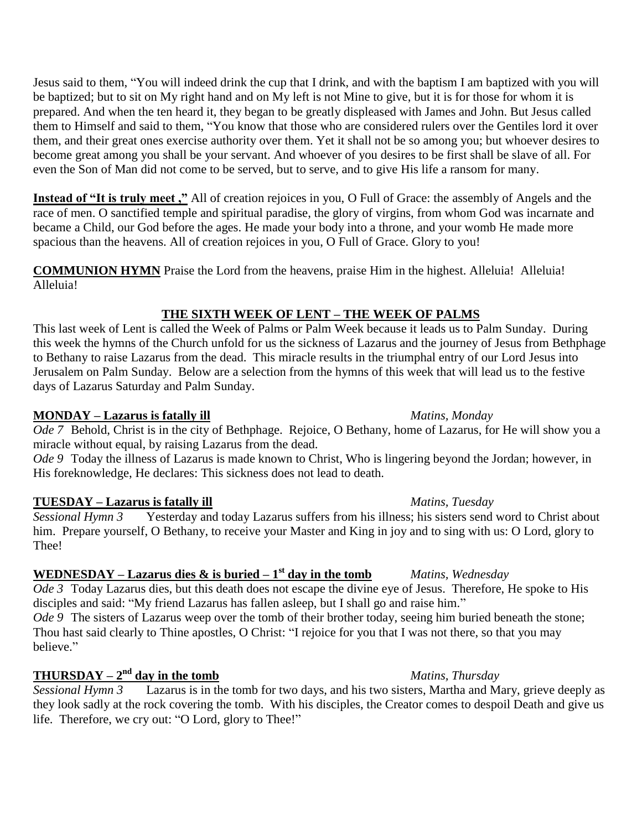Jesus said to them, "You will indeed drink the cup that I drink, and with the baptism I am baptized with you will be baptized; but to sit on My right hand and on My left is not Mine to give, but it is for those for whom it is prepared. And when the ten heard it, they began to be greatly displeased with James and John. But Jesus called them to Himself and said to them, "You know that those who are considered rulers over the Gentiles lord it over them, and their great ones exercise authority over them. Yet it shall not be so among you; but whoever desires to become great among you shall be your servant. And whoever of you desires to be first shall be slave of all. For even the Son of Man did not come to be served, but to serve, and to give His life a ransom for many.

**Instead of "It is truly meet ,"** All of creation rejoices in you, O Full of Grace: the assembly of Angels and the race of men. O sanctified temple and spiritual paradise, the glory of virgins, from whom God was incarnate and became a Child, our God before the ages. He made your body into a throne, and your womb He made more spacious than the heavens. All of creation rejoices in you, O Full of Grace. Glory to you!

**COMMUNION HYMN** Praise the Lord from the heavens, praise Him in the highest. Alleluia! Alleluia! Alleluia!

# **THE SIXTH WEEK OF LENT – THE WEEK OF PALMS**

This last week of Lent is called the Week of Palms or Palm Week because it leads us to Palm Sunday. During this week the hymns of the Church unfold for us the sickness of Lazarus and the journey of Jesus from Bethphage to Bethany to raise Lazarus from the dead. This miracle results in the triumphal entry of our Lord Jesus into Jerusalem on Palm Sunday. Below are a selection from the hymns of this week that will lead us to the festive days of Lazarus Saturday and Palm Sunday.

### **MONDAY – Lazarus is fatally ill** *Matins, Monday*

*Ode 7* Behold, Christ is in the city of Bethphage. Rejoice, O Bethany, home of Lazarus, for He will show you a miracle without equal, by raising Lazarus from the dead.

*Ode 9* Today the illness of Lazarus is made known to Christ, Who is lingering beyond the Jordan; however, in His foreknowledge, He declares: This sickness does not lead to death.

### **TUESDAY – Lazarus is fatally ill** *Matins, Tuesday*

*Sessional Hymn 3* Yesterday and today Lazarus suffers from his illness; his sisters send word to Christ about him. Prepare yourself, O Bethany, to receive your Master and King in joy and to sing with us: O Lord, glory to Thee!

### **WEDNESDAY** – **Lazarus dies & is buried – 1<sup>st</sup> day in the tomb** *Matins, Wednesday*

*Ode 3* Today Lazarus dies, but this death does not escape the divine eye of Jesus. Therefore, He spoke to His disciples and said: "My friend Lazarus has fallen asleep, but I shall go and raise him."

*Ode* 9 The sisters of Lazarus weep over the tomb of their brother today, seeing him buried beneath the stone; Thou hast said clearly to Thine apostles, O Christ: "I rejoice for you that I was not there, so that you may believe."

# **THURSDAY** –  $2^{\text{nd}}$  day in the tomb *Matins, Thursday*

*Sessional Hymn 3* Lazarus is in the tomb for two days, and his two sisters, Martha and Mary, grieve deeply as they look sadly at the rock covering the tomb. With his disciples, the Creator comes to despoil Death and give us life. Therefore, we cry out: "O Lord, glory to Thee!"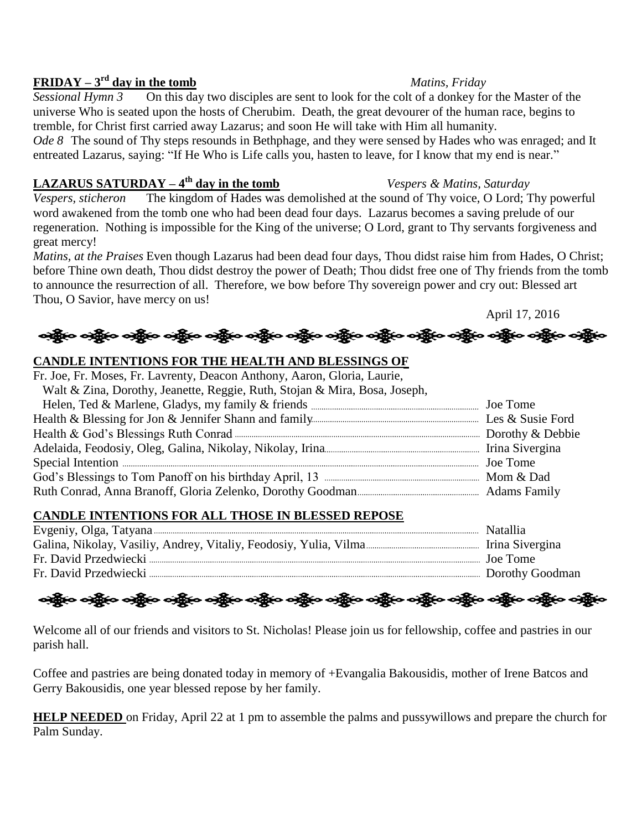## **FRIDAY** –  $3^{\text{rd}}$  day in the tomb *Matins, Friday*

*Sessional Hymn 3* On this day two disciples are sent to look for the colt of a donkey for the Master of the universe Who is seated upon the hosts of Cherubim. Death, the great devourer of the human race, begins to tremble, for Christ first carried away Lazarus; and soon He will take with Him all humanity.

*Ode 8* The sound of Thy steps resounds in Bethphage, and they were sensed by Hades who was enraged; and It entreated Lazarus, saying: "If He Who is Life calls you, hasten to leave, for I know that my end is near."

# **LAZARUS SATURDAY**  $-4$ <sup>th</sup> day in the tomb

*Vespers, sticheron* The kingdom of Hades was demolished at the sound of Thy voice, O Lord; Thy powerful word awakened from the tomb one who had been dead four days. Lazarus becomes a saving prelude of our regeneration. Nothing is impossible for the King of the universe; O Lord, grant to Thy servants forgiveness and great mercy!

*Matins, at the Praises* Even though Lazarus had been dead four days, Thou didst raise him from Hades, O Christ; before Thine own death, Thou didst destroy the power of Death; Thou didst free one of Thy friends from the tomb to announce the resurrection of all. Therefore, we bow before Thy sovereign power and cry out: Blessed art Thou, O Savior, have mercy on us!

ဆိုပြီးဝ ဝန္ကိုပ ဝန္ကိုပ ဝန္ကိုပ ဝန္ကိုပ ဝန္ကိုပ ဝန္ကိုပ ဝန္ကိုပ ဝန္ကိုပ ဝန္ကိုပ ဝန္ကိုပ ဝန္ကိုပ ဝန္ကိုပ ဝန္ကိ

## **CANDLE INTENTIONS FOR THE HEALTH AND BLESSINGS OF**

| Fr. Joe, Fr. Moses, Fr. Lavrenty, Deacon Anthony, Aaron, Gloria, Laurie,   |  |
|----------------------------------------------------------------------------|--|
| Walt & Zina, Dorothy, Jeanette, Reggie, Ruth, Stojan & Mira, Bosa, Joseph, |  |
|                                                                            |  |
|                                                                            |  |
|                                                                            |  |
|                                                                            |  |
|                                                                            |  |
|                                                                            |  |
|                                                                            |  |

### **CANDLE INTENTIONS FOR ALL THOSE IN BLESSED REPOSE**

| Natallia          |
|-------------------|
|                   |
| Joe Tome          |
| . Dorothy Goodman |

<u>နော်မှာ မရှိမ မရှိမ မရှိမ မရှိမ မရှိမ မရှိမ မရှိမ မရှိမ မရှိမ မရှိမ မရှိမ</u>

Welcome all of our friends and visitors to St. Nicholas! Please join us for fellowship, coffee and pastries in our parish hall.

Coffee and pastries are being donated today in memory of +Evangalia Bakousidis, mother of Irene Batcos and Gerry Bakousidis, one year blessed repose by her family.

**HELP NEEDED** on Friday, April 22 at 1 pm to assemble the palms and pussywillows and prepare the church for Palm Sunday.

*Vespers & Matins, Saturday* 

April 17, 2016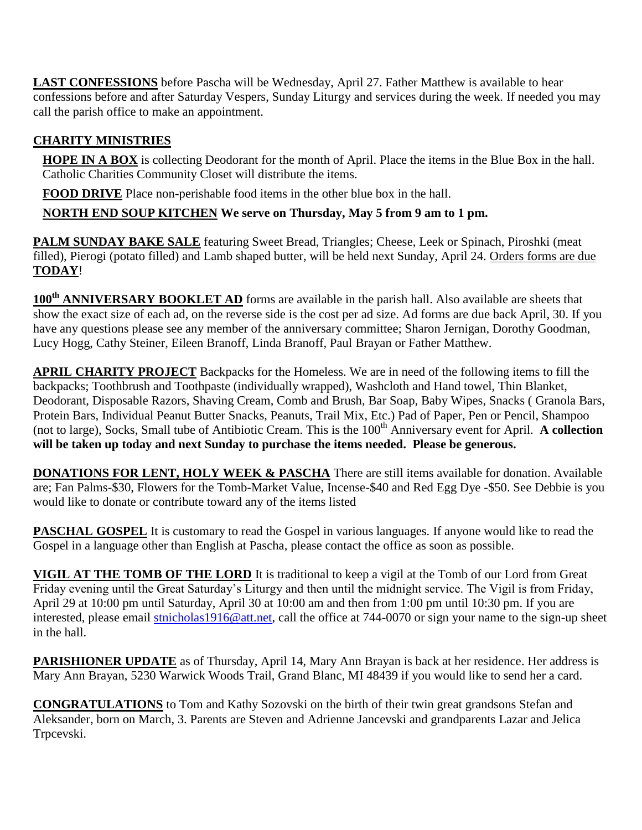**LAST CONFESSIONS** before Pascha will be Wednesday, April 27. Father Matthew is available to hear confessions before and after Saturday Vespers, Sunday Liturgy and services during the week. If needed you may call the parish office to make an appointment.

# **CHARITY MINISTRIES**

**HOPE IN A BOX** is collecting Deodorant for the month of April. Place the items in the Blue Box in the hall. Catholic Charities Community Closet will distribute the items.

**FOOD DRIVE** Place non-perishable food items in the other blue box in the hall.

**NORTH END SOUP KITCHEN We serve on Thursday, May 5 from 9 am to 1 pm.**

**PALM SUNDAY BAKE SALE** featuring Sweet Bread, Triangles; Cheese, Leek or Spinach, Piroshki (meat filled), Pierogi (potato filled) and Lamb shaped butter, will be held next Sunday, April 24. Orders forms are due **TODAY**!

**100th ANNIVERSARY BOOKLET AD** forms are available in the parish hall. Also available are sheets that show the exact size of each ad, on the reverse side is the cost per ad size. Ad forms are due back April, 30. If you have any questions please see any member of the anniversary committee; Sharon Jernigan, Dorothy Goodman, Lucy Hogg, Cathy Steiner, Eileen Branoff, Linda Branoff, Paul Brayan or Father Matthew.

**APRIL CHARITY PROJECT** Backpacks for the Homeless. We are in need of the following items to fill the backpacks; Toothbrush and Toothpaste (individually wrapped), Washcloth and Hand towel, Thin Blanket, Deodorant, Disposable Razors, Shaving Cream, Comb and Brush, Bar Soap, Baby Wipes, Snacks ( Granola Bars, Protein Bars, Individual Peanut Butter Snacks, Peanuts, Trail Mix, Etc.) Pad of Paper, Pen or Pencil, Shampoo (not to large), Socks, Small tube of Antibiotic Cream. This is the 100<sup>th</sup> Anniversary event for April. **A collection will be taken up today and next Sunday to purchase the items needed. Please be generous.**

**DONATIONS FOR LENT, HOLY WEEK & PASCHA** There are still items available for donation. Available are; Fan Palms-\$30, Flowers for the Tomb-Market Value, Incense-\$40 and Red Egg Dye -\$50. See Debbie is you would like to donate or contribute toward any of the items listed

**PASCHAL GOSPEL** It is customary to read the Gospel in various languages. If anyone would like to read the Gospel in a language other than English at Pascha, please contact the office as soon as possible.

**VIGIL AT THE TOMB OF THE LORD** It is traditional to keep a vigil at the Tomb of our Lord from Great Friday evening until the Great Saturday's Liturgy and then until the midnight service. The Vigil is from Friday, April 29 at 10:00 pm until Saturday, April 30 at 10:00 am and then from 1:00 pm until 10:30 pm. If you are interested, please email [stnicholas1916@att.net,](mailto:stnicholas1916@att.net) call the office at 744-0070 or sign your name to the sign-up sheet in the hall.

**PARISHIONER UPDATE** as of Thursday, April 14, Mary Ann Brayan is back at her residence. Her address is Mary Ann Brayan, 5230 Warwick Woods Trail, Grand Blanc, MI 48439 if you would like to send her a card.

**CONGRATULATIONS** to Tom and Kathy Sozovski on the birth of their twin great grandsons Stefan and Aleksander, born on March, 3. Parents are Steven and Adrienne Jancevski and grandparents Lazar and Jelica Trpcevski.